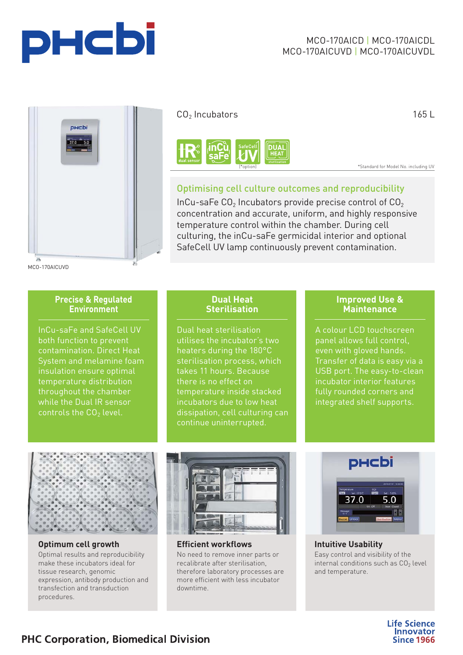

# MCO-170AICD | MCO-170AICDL MCO-170AICUVD | MCO-170AICUVDL



# $CO<sub>2</sub>$  Incubators



\*Standard for Model No. including UV

165 L

# Optimising cell culture outcomes and reproducibility

InCu-saFe  $CO<sub>2</sub>$  Incubators provide precise control of  $CO<sub>2</sub>$ concentration and accurate, uniform, and highly responsive temperature control within the chamber. During cell culturing, the inCu-saFe germicidal interior and optional SafeCell UV lamp continuously prevent contamination.

MCO-170AICUVD

## **Precise & Regulated Environment**

InCu-saFe and SafeCell UV both function to prevent contamination. Direct Heat System and melamine foam insulation ensure optimal temperature distribution throughout the chamber while the Dual IR sensor controls the  $CO<sub>2</sub>$  level.

### **Dual Heat Sterilisation**

Dual heat sterilisation utilises the incubator's two heaters during the 180°C sterilisation process, which takes 11 hours. Because there is no effect on temperature inside stacked incubators due to low heat dissipation, cell culturing can continue uninterrupted.

#### **Improved Use & Maintenance**

A colour LCD touchscreen panel allows full control, even with gloved hands. Transfer of data is easy via a USB port. The easy-to-clean incubator interior features fully rounded corners and integrated shelf supports.



**Optimum cell growth** Optimal results and reproducibility make these incubators ideal for tissue research, genomic expression, antibody production and transfection and transduction procedures.



**Efficient workflows** No need to remove inner parts or recalibrate after sterilisation, therefore laboratory processes are more efficient with less incubator downtime.



**Intuitive Usability** Easy control and visibility of the internal conditions such as  $CO<sub>2</sub>$  level and temperature.

> **Life Science Innovator Since 1966**

# **PHC Corporation, Biomedical Division**